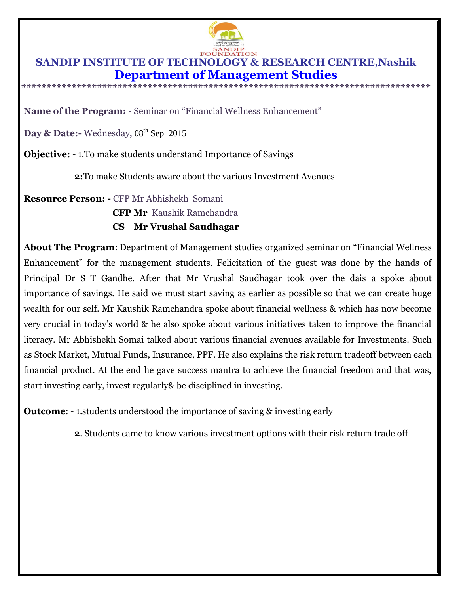

## **SANDIP INSTITUTE OF TECHNOLOGY & RESEARCH CENTRE,Nashik Department of Management Studies**

**\*\*\*\*\*\*\*\*\*\*\*\*\*\*\*\*\*\*\*\*\*\*\*\*\*\*\*\*\*\*\*\*\*\*\*\*\*\*\*\*\*\*\*\*\*\*\*\*\*\*\*\*\*\*\*\*\*\*\*\*\*\*\*\*\*\*\*\*\*\*\*\*\*\*\*\*\*\*\*\*\***

**Name of the Program:** - Seminar on "Financial Wellness Enhancement"

Day & Date:- Wednesday, 08<sup>th</sup> Sep 2015

**Objective:** - 1.To make students understand Importance of Savings

**2:**To make Students aware about the various Investment Avenues

**Resource Person: -** CFP Mr Abhishekh Somani

 **CFP Mr** Kaushik Ramchandra

## **CS Mr Vrushal Saudhagar**

**About The Program**: Department of Management studies organized seminar on "Financial Wellness Enhancement" for the management students. Felicitation of the guest was done by the hands of Principal Dr S T Gandhe. After that Mr Vrushal Saudhagar took over the dais a spoke about importance of savings. He said we must start saving as earlier as possible so that we can create huge wealth for our self. Mr Kaushik Ramchandra spoke about financial wellness & which has now become very crucial in today's world & he also spoke about various initiatives taken to improve the financial literacy. Mr Abhishekh Somai talked about various financial avenues available for Investments. Such as Stock Market, Mutual Funds, Insurance, PPF. He also explains the risk return tradeoff between each financial product. At the end he gave success mantra to achieve the financial freedom and that was, start investing early, invest regularly& be disciplined in investing.

**Outcome:** - 1.students understood the importance of saving & investing early

**2**. Students came to know various investment options with their risk return trade off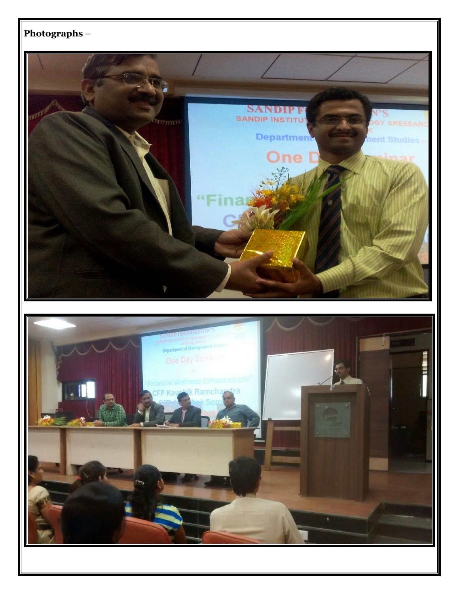

ä